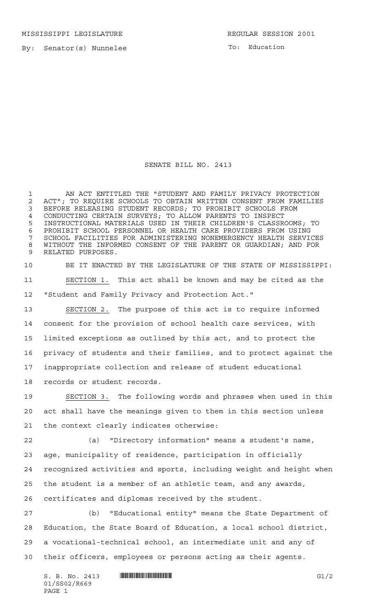MISSISSIPPI LEGISLATURE **REGULAR SESSION 2001** 

By: Senator(s) Nunnelee

To: Education

## SENATE BILL NO. 2413

 AN ACT ENTITLED THE "STUDENT AND FAMILY PRIVACY PROTECTION 2 ACT"; TO REQUIRE SCHOOLS TO OBTAIN WRITTEN CONSENT FROM FAMILIES<br>3 BEFORE RELEASING STUDENT RECORDS: TO PROHIBIT SCHOOLS FROM BEFORE RELEASING STUDENT RECORDS; TO PROHIBIT SCHOOLS FROM CONDUCTING CERTAIN SURVEYS; TO ALLOW PARENTS TO INSPECT INSTRUCTIONAL MATERIALS USED IN THEIR CHILDREN'S CLASSROOMS; TO PROHIBIT SCHOOL PERSONNEL OR HEALTH CARE PROVIDERS FROM USING SCHOOL FACILITIES FOR ADMINISTERING NONEMERGENCY HEALTH SERVICES WITHOUT THE INFORMED CONSENT OF THE PARENT OR GUARDIAN; AND FOR RELATED PURPOSES.

 BE IT ENACTED BY THE LEGISLATURE OF THE STATE OF MISSISSIPPI: SECTION 1. This act shall be known and may be cited as the "Student and Family Privacy and Protection Act."

 SECTION 2. The purpose of this act is to require informed consent for the provision of school health care services, with limited exceptions as outlined by this act, and to protect the privacy of students and their families, and to protect against the inappropriate collection and release of student educational records or student records.

 SECTION 3. The following words and phrases when used in this act shall have the meanings given to them in this section unless the context clearly indicates otherwise:

 (a) "Directory information" means a student's name, age, municipality of residence, participation in officially recognized activities and sports, including weight and height when the student is a member of an athletic team, and any awards, certificates and diplomas received by the student.

 (b) "Educational entity" means the State Department of Education, the State Board of Education, a local school district, a vocational-technical school, an intermediate unit and any of their officers, employees or persons acting as their agents.

 $S. B. No. 2413$  **...**  $\blacksquare$  **...**  $\blacksquare$  ... 01/SS02/R669 PAGE 1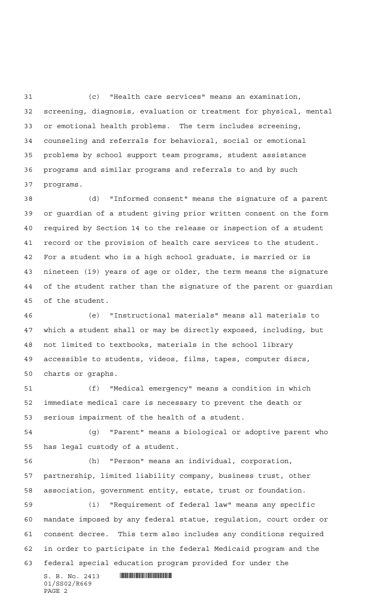(c) "Health care services" means an examination, screening, diagnosis, evaluation or treatment for physical, mental or emotional health problems. The term includes screening, counseling and referrals for behavioral, social or emotional problems by school support team programs, student assistance programs and similar programs and referrals to and by such programs.

 (d) "Informed consent" means the signature of a parent or guardian of a student giving prior written consent on the form required by Section 14 to the release or inspection of a student record or the provision of health care services to the student. For a student who is a high school graduate, is married or is nineteen (19) years of age or older, the term means the signature of the student rather than the signature of the parent or guardian of the student.

 (e) "Instructional materials" means all materials to which a student shall or may be directly exposed, including, but not limited to textbooks, materials in the school library accessible to students, videos, films, tapes, computer discs, charts or graphs.

 (f) "Medical emergency" means a condition in which immediate medical care is necessary to prevent the death or serious impairment of the health of a student.

 (g) "Parent" means a biological or adoptive parent who has legal custody of a student.

 (h) "Person" means an individual, corporation, partnership, limited liability company, business trust, other association, government entity, estate, trust or foundation.

 (i) "Requirement of federal law" means any specific mandate imposed by any federal statue, regulation, court order or consent decree. This term also includes any conditions required in order to participate in the federal Medicaid program and the federal special education program provided for under the

 $S. B. No. 2413$  . So  $\blacksquare$ 01/SS02/R669 PAGE 2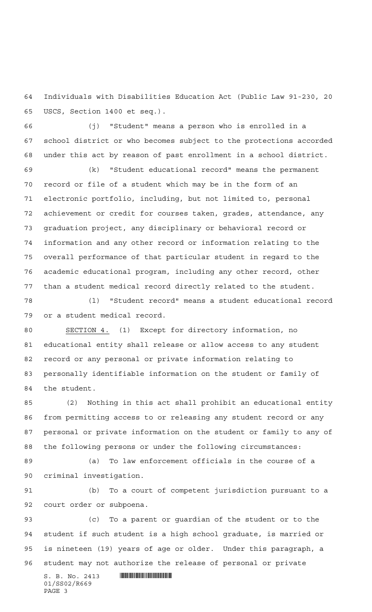Individuals with Disabilities Education Act (Public Law 91-230, 20 USCS, Section 1400 et seq.).

 (j) "Student" means a person who is enrolled in a school district or who becomes subject to the protections accorded under this act by reason of past enrollment in a school district.

 (k) "Student educational record" means the permanent record or file of a student which may be in the form of an electronic portfolio, including, but not limited to, personal achievement or credit for courses taken, grades, attendance, any graduation project, any disciplinary or behavioral record or information and any other record or information relating to the overall performance of that particular student in regard to the academic educational program, including any other record, other than a student medical record directly related to the student.

 (l) "Student record" means a student educational record or a student medical record.

 SECTION 4. (1) Except for directory information, no educational entity shall release or allow access to any student record or any personal or private information relating to personally identifiable information on the student or family of the student.

 (2) Nothing in this act shall prohibit an educational entity from permitting access to or releasing any student record or any personal or private information on the student or family to any of the following persons or under the following circumstances:

 (a) To law enforcement officials in the course of a criminal investigation.

 (b) To a court of competent jurisdiction pursuant to a court order or subpoena.

 (c) To a parent or guardian of the student or to the student if such student is a high school graduate, is married or is nineteen (19) years of age or older. Under this paragraph, a student may not authorize the release of personal or private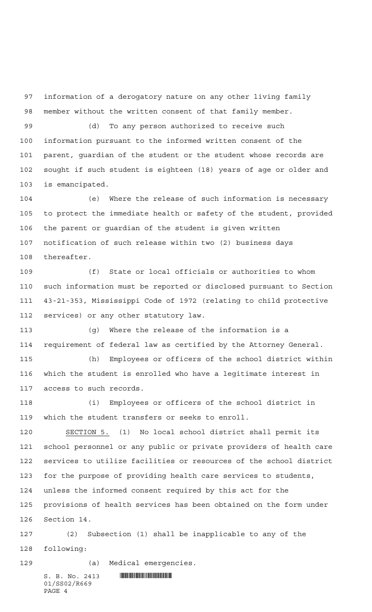information of a derogatory nature on any other living family member without the written consent of that family member.

 (d) To any person authorized to receive such information pursuant to the informed written consent of the parent, guardian of the student or the student whose records are sought if such student is eighteen (18) years of age or older and is emancipated.

 (e) Where the release of such information is necessary to protect the immediate health or safety of the student, provided the parent or guardian of the student is given written notification of such release within two (2) business days thereafter.

 (f) State or local officials or authorities to whom such information must be reported or disclosed pursuant to Section 43-21-353, Mississippi Code of 1972 (relating to child protective services) or any other statutory law.

 (g) Where the release of the information is a requirement of federal law as certified by the Attorney General.

 (h) Employees or officers of the school district within which the student is enrolled who have a legitimate interest in access to such records.

 (i) Employees or officers of the school district in which the student transfers or seeks to enroll.

 SECTION 5. (1) No local school district shall permit its school personnel or any public or private providers of health care services to utilize facilities or resources of the school district for the purpose of providing health care services to students, unless the informed consent required by this act for the provisions of health services has been obtained on the form under

Section 14.

 (2) Subsection (1) shall be inapplicable to any of the following:

(a) Medical emergencies.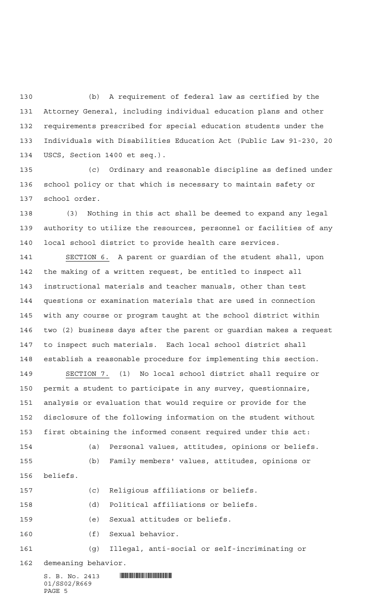(b) A requirement of federal law as certified by the Attorney General, including individual education plans and other requirements prescribed for special education students under the Individuals with Disabilities Education Act (Public Law 91-230, 20 USCS, Section 1400 et seq.).

 (c) Ordinary and reasonable discipline as defined under school policy or that which is necessary to maintain safety or school order.

 (3) Nothing in this act shall be deemed to expand any legal authority to utilize the resources, personnel or facilities of any local school district to provide health care services.

 SECTION 6. A parent or guardian of the student shall, upon the making of a written request, be entitled to inspect all instructional materials and teacher manuals, other than test questions or examination materials that are used in connection with any course or program taught at the school district within two (2) business days after the parent or guardian makes a request to inspect such materials. Each local school district shall establish a reasonable procedure for implementing this section.

 SECTION 7. (1) No local school district shall require or permit a student to participate in any survey, questionnaire, analysis or evaluation that would require or provide for the disclosure of the following information on the student without first obtaining the informed consent required under this act:

 (a) Personal values, attitudes, opinions or beliefs. (b) Family members' values, attitudes, opinions or

- beliefs.
- (c) Religious affiliations or beliefs.

(d) Political affiliations or beliefs.

(e) Sexual attitudes or beliefs.

(f) Sexual behavior.

(g) Illegal, anti-social or self-incriminating or

demeaning behavior.

 $S. B. No. 2413$  . So  $R<sub>2413</sub>$  . So  $R<sub>2413</sub>$  . So  $R<sub>2413</sub>$  . So  $R<sub>2413</sub>$  . So  $R<sub>2413</sub>$  , and  $R<sub>2413</sub>$  , and  $R<sub>2413</sub>$  , and  $R<sub>2413</sub>$  , and  $R<sub>2413</sub>$  , and  $R<sub>2413</sub>$  , and  $R<sub>2</sub>$ 01/SS02/R669 PAGE 5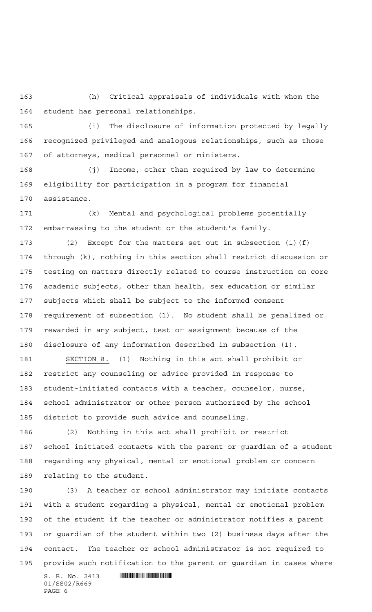(h) Critical appraisals of individuals with whom the student has personal relationships.

 (i) The disclosure of information protected by legally recognized privileged and analogous relationships, such as those of attorneys, medical personnel or ministers.

 (j) Income, other than required by law to determine eligibility for participation in a program for financial assistance.

 (k) Mental and psychological problems potentially embarrassing to the student or the student's family.

 (2) Except for the matters set out in subsection (1)(f) through (k), nothing in this section shall restrict discussion or testing on matters directly related to course instruction on core academic subjects, other than health, sex education or similar subjects which shall be subject to the informed consent requirement of subsection (1). No student shall be penalized or rewarded in any subject, test or assignment because of the disclosure of any information described in subsection (1).

 SECTION 8. (1) Nothing in this act shall prohibit or restrict any counseling or advice provided in response to student-initiated contacts with a teacher, counselor, nurse, school administrator or other person authorized by the school district to provide such advice and counseling.

 (2) Nothing in this act shall prohibit or restrict school-initiated contacts with the parent or guardian of a student regarding any physical, mental or emotional problem or concern relating to the student.

 (3) A teacher or school administrator may initiate contacts with a student regarding a physical, mental or emotional problem of the student if the teacher or administrator notifies a parent or guardian of the student within two (2) business days after the contact. The teacher or school administrator is not required to provide such notification to the parent or guardian in cases where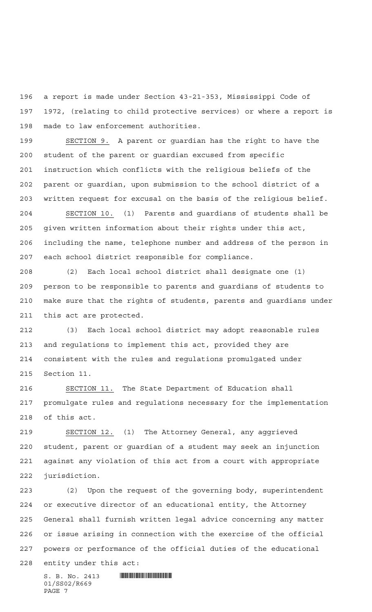a report is made under Section 43-21-353, Mississippi Code of 1972, (relating to child protective services) or where a report is made to law enforcement authorities.

 SECTION 9. A parent or guardian has the right to have the student of the parent or guardian excused from specific instruction which conflicts with the religious beliefs of the parent or guardian, upon submission to the school district of a written request for excusal on the basis of the religious belief.

 SECTION 10. (1) Parents and guardians of students shall be given written information about their rights under this act, including the name, telephone number and address of the person in each school district responsible for compliance.

 (2) Each local school district shall designate one (1) person to be responsible to parents and guardians of students to make sure that the rights of students, parents and guardians under this act are protected.

 (3) Each local school district may adopt reasonable rules and regulations to implement this act, provided they are consistent with the rules and regulations promulgated under Section 11.

 SECTION 11. The State Department of Education shall promulgate rules and regulations necessary for the implementation of this act.

 SECTION 12. (1) The Attorney General, any aggrieved student, parent or guardian of a student may seek an injunction against any violation of this act from a court with appropriate jurisdiction.

 (2) Upon the request of the governing body, superintendent or executive director of an educational entity, the Attorney General shall furnish written legal advice concerning any matter or issue arising in connection with the exercise of the official powers or performance of the official duties of the educational entity under this act: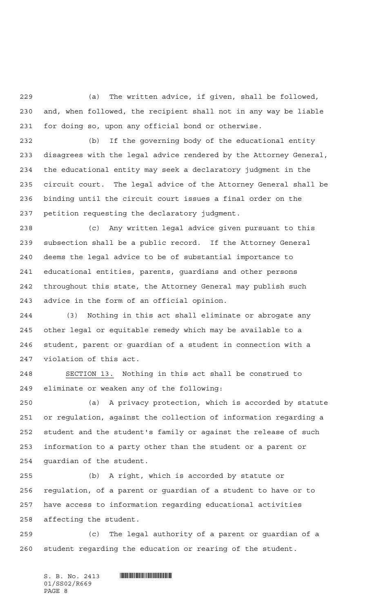(a) The written advice, if given, shall be followed, and, when followed, the recipient shall not in any way be liable for doing so, upon any official bond or otherwise.

 (b) If the governing body of the educational entity disagrees with the legal advice rendered by the Attorney General, the educational entity may seek a declaratory judgment in the circuit court. The legal advice of the Attorney General shall be binding until the circuit court issues a final order on the petition requesting the declaratory judgment.

 (c) Any written legal advice given pursuant to this subsection shall be a public record. If the Attorney General deems the legal advice to be of substantial importance to educational entities, parents, guardians and other persons throughout this state, the Attorney General may publish such advice in the form of an official opinion.

 (3) Nothing in this act shall eliminate or abrogate any other legal or equitable remedy which may be available to a student, parent or guardian of a student in connection with a violation of this act.

 SECTION 13. Nothing in this act shall be construed to eliminate or weaken any of the following:

 (a) A privacy protection, which is accorded by statute or regulation, against the collection of information regarding a student and the student's family or against the release of such information to a party other than the student or a parent or guardian of the student.

 (b) A right, which is accorded by statute or regulation, of a parent or guardian of a student to have or to have access to information regarding educational activities affecting the student.

 (c) The legal authority of a parent or guardian of a student regarding the education or rearing of the student.

 $S. B. No. 2413$  . So  $R<sub>2413</sub>$  . So  $R<sub>2413</sub>$  . So  $R<sub>2413</sub>$  . So  $R<sub>2413</sub>$  . So  $R<sub>2413</sub>$  , and  $R<sub>2413</sub>$  , and  $R<sub>2413</sub>$  , and  $R<sub>2413</sub>$  , and  $R<sub>2413</sub>$  , and  $R<sub>2413</sub>$  , and  $R<sub>2</sub>$ 01/SS02/R669 PAGE 8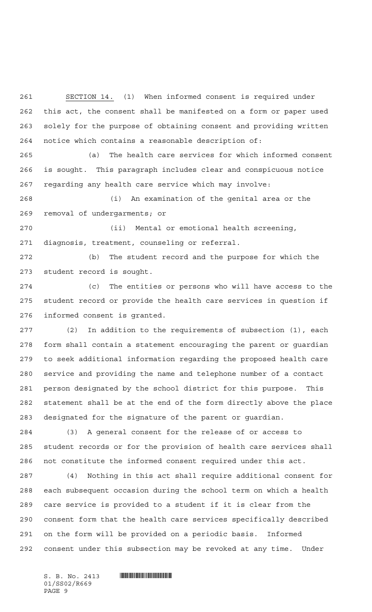SECTION 14. (1) When informed consent is required under this act, the consent shall be manifested on a form or paper used solely for the purpose of obtaining consent and providing written notice which contains a reasonable description of:

 (a) The health care services for which informed consent is sought. This paragraph includes clear and conspicuous notice regarding any health care service which may involve:

 (i) An examination of the genital area or the removal of undergarments; or

 (ii) Mental or emotional health screening, diagnosis, treatment, counseling or referral.

 (b) The student record and the purpose for which the student record is sought.

 (c) The entities or persons who will have access to the student record or provide the health care services in question if informed consent is granted.

 (2) In addition to the requirements of subsection (1), each form shall contain a statement encouraging the parent or guardian to seek additional information regarding the proposed health care service and providing the name and telephone number of a contact person designated by the school district for this purpose. This statement shall be at the end of the form directly above the place designated for the signature of the parent or guardian.

 (3) A general consent for the release of or access to student records or for the provision of health care services shall not constitute the informed consent required under this act.

 (4) Nothing in this act shall require additional consent for each subsequent occasion during the school term on which a health care service is provided to a student if it is clear from the consent form that the health care services specifically described on the form will be provided on a periodic basis. Informed consent under this subsection may be revoked at any time. Under

01/SS02/R669 PAGE 9

 $S. B. No. 2413$  . So  $\blacksquare$